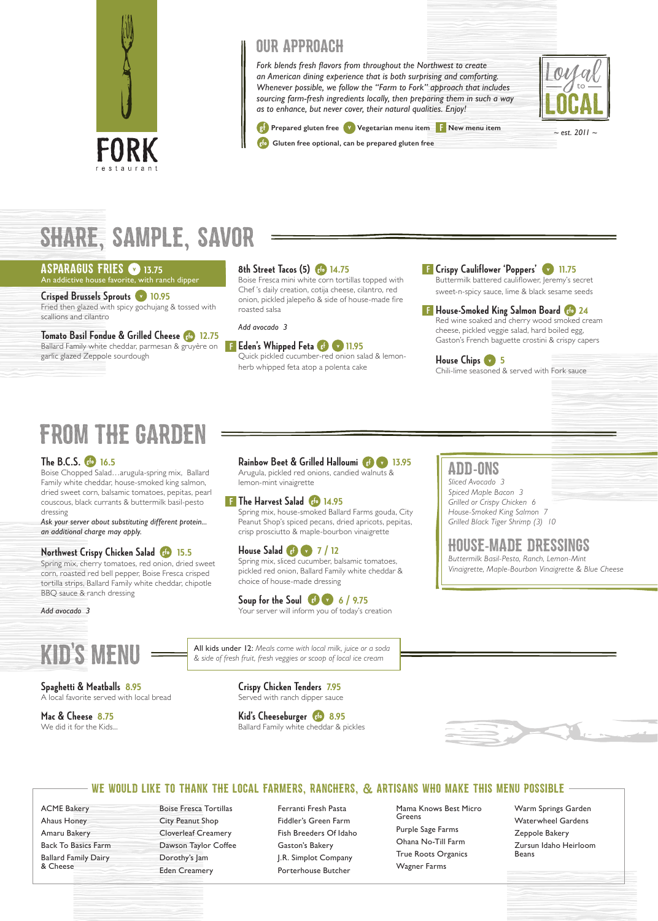

## OUR APPROACH

*Fork blends fresh flavors from throughout the Northwest to create an American dining experience that is both surprising and comforting. Whenever possible, we follow the "Farm to Fork" approach that includes sourcing farm-fresh ingredients locally, then preparing them in such a way as to enhance, but never cover, their natural qualities. Enjoy!*



*~ est. 2011 ~*

**gf** Prepared gluten free **v** Vegetarian menu item **F** New menu item

**Gluten free optional, can be prepared gluten free** 

# SHARE, SAMPLE, SAVOR

**ASPARAGUS FRIES** An addictive house favorite, with ranch dipper

#### **Crisped Brussels Sprouts 10.95**

Fried then glazed with spicy gochujang & tossed with scallions and cilantro

**Tomato Basil Fondue & Grilled Cheese 12.75** Ballard Family white cheddar, parmesan & gruyère on garlic glazed Zeppole sourdough

**8th Street Tacos (5) 14.75**

Boise Fresca mini white corn tortillas topped with Chef 's daily creation, cotija cheese, cilantro, red onion, pickled jalepeño & side of house-made fire roasted salsa

*Add avocado 3*

#### **Eden's Whipped Feta 11.95** Quick pickled cucumber-red onion salad & lemonherb whipped feta atop a polenta cake

**F** Crispy Cauliflower 'Poppers' **v** 11.75 Buttermilk battered cauliflower, Jeremy's secret sweet-n-spicy sauce, lime & black sesame seeds

**House-Smoked King Salmon Board 24** Red wine soaked and cherry wood smoked cream cheese, pickled veggie salad, hard boiled egg, Gaston's French baguette crostini & crispy capers

House Chips **b** 5 Chili-lime seasoned & served with Fork sauce

HOUSE-MADE DRESSINGS *Buttermilk Basil-Pesto, Ranch, Lemon-Mint*

*Vinaigrette, Maple-Bourbon Vinaigrette & Blue Cheese*

ADD-ONS *Sliced Avocado 3 Spiced Maple Bacon 3 Grilled or Crispy Chicken 6 House-Smoked King Salmon 7 Grilled Black Tiger Shrimp (3) 10* 

## FROM THE GARDEN

#### **The B.C.S. 80 16.5**

Boise Chopped Salad…arugula-spring mix, Ballard Family white cheddar, house-smoked king salmon, dried sweet corn, balsamic tomatoes, pepitas, pearl couscous, black currants & buttermilk basil-pesto dressing

*Ask your server about substituting different protein... an additional charge may apply.* 

### **Northwest Crispy Chicken Salad 15.5**

Spring mix, cherry tomatoes, red onion, dried sweet corn, roasted red bell pepper, Boise Fresca crisped tortilla strips, Ballard Family white cheddar, chipotle BBQ sauce & ranch dressing

*Add avocado 3*



**Spaghetti & Meatballs 8.95** A local favorite served with local bread

**Mac & Cheese 8.75** We did it for the Kids... **Rainbow Beet & Grilled Halloumi 13.95** Arugula, pickled red onions, candied walnuts & lemon-mint vinaigrette

**The Harvest Salad 80 14.95** Spring mix, house-smoked Ballard Farms gouda, City Peanut Shop's spiced pecans, dried apricots, pepitas, crisp prosciutto & maple-bourbon vinaigrette

**House Salad 8 8 7 / 12** Spring mix, sliced cucumber, balsamic tomatoes, pickled red onion, Ballard Family white cheddar & choice of house-made dressing

**Soup for the Soul 6 / 9.75** Your server will inform you of today's creation

All kids under 12: *Meals come with local milk, juice or a soda & side of fresh fruit, fresh veggies or scoop of local ice cream*

> **Crispy Chicken Tenders 7.95** Served with ranch dipper sauce

**Kid's Cheeseburger 8.95** Ballard Family white cheddar & pickles



#### WE WOULD LIKE TO THANK THE LOCAL FARMERS, RANCHERS, & ARTISANS WHO MAKE THIS MENU POSSIBLE

- ACME Bakery Ahaus Honey Amaru Bakery Back To Basics Farm Ballard Family Dairy & Cheese
- Boise Fresca Tortillas City Peanut Shop Cloverleaf Creamery Dawson Taylor Coffee Dorothy's Jam Eden Creamery

Ferranti Fresh Pasta Fiddler's Green Farm Fish Breeders Of Idaho Gaston's Bakery J.R. Simplot Company Porterhouse Butcher

Mama Knows Best Micro Greens Purple Sage Farms Ohana No-Till Farm True Roots Organics Wagner Farms

Warm Springs Garden Waterwheel Gardens Zeppole Bakery Zursun Idaho Heirloom Beans